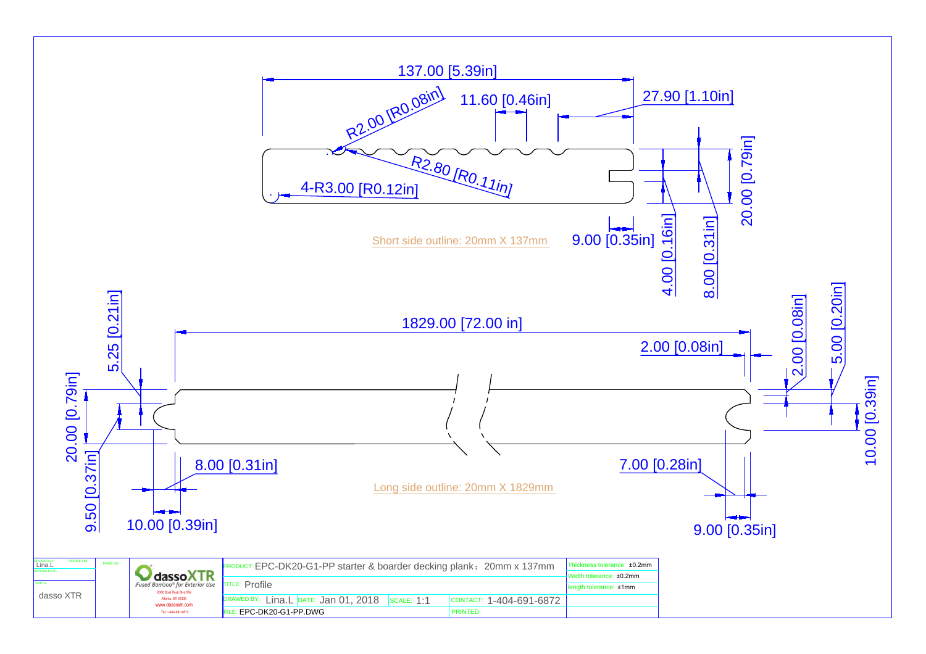